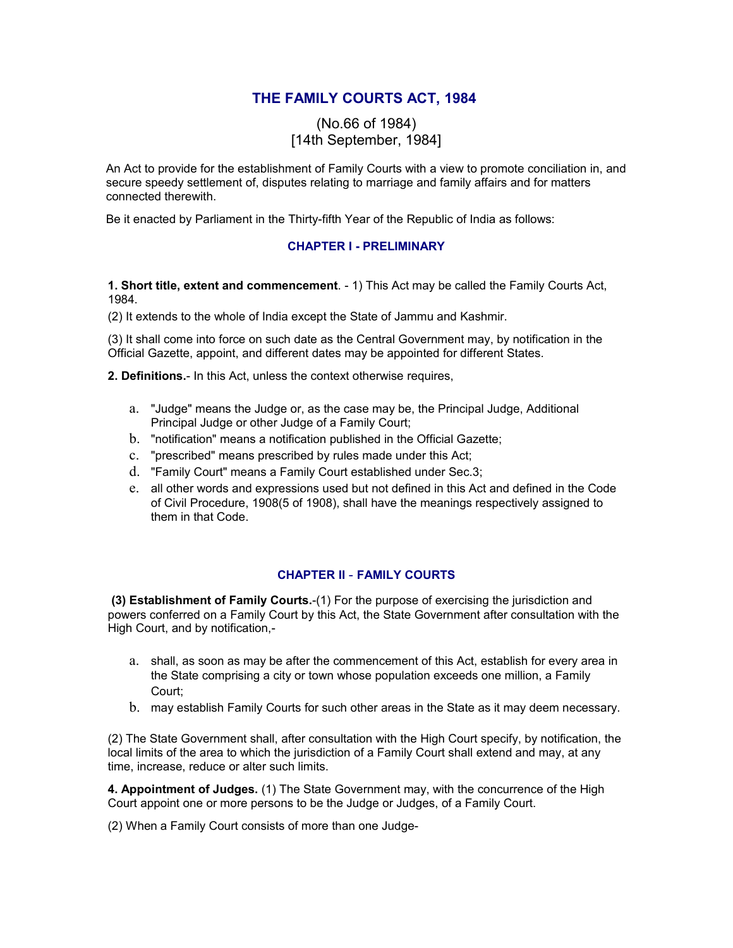# **THE FAMILY COURTS ACT, 1984**

## (No.66 of 1984) [14th September, 1984]

An Act to provide for the establishment of Family Courts with a view to promote conciliation in, and secure speedy settlement of, disputes relating to marriage and family affairs and for matters connected therewith.

Be it enacted by Parliament in the Thirty-fifth Year of the Republic of India as follows:

### **CHAPTER I - PRELIMINARY**

**1. Short title, extent and commencement**. - 1) This Act may be called the Family Courts Act, 1984.

(2) It extends to the whole of India except the State of Jammu and Kashmir.

(3) It shall come into force on such date as the Central Government may, by notification in the Official Gazette, appoint, and different dates may be appointed for different States.

**2. Definitions.**- In this Act, unless the context otherwise requires,

- a. "Judge" means the Judge or, as the case may be, the Principal Judge, Additional Principal Judge or other Judge of a Family Court;
- b. "notification" means a notification published in the Official Gazette;
- c. "prescribed" means prescribed by rules made under this Act;
- d. "Family Court" means a Family Court established under Sec.3;
- e. all other words and expressions used but not defined in this Act and defined in the Code of Civil Procedure, 1908(5 of 1908), shall have the meanings respectively assigned to them in that Code.

### **CHAPTER II** - **FAMILY COURTS**

**(3) Establishment of Family Courts.**-(1) For the purpose of exercising the jurisdiction and powers conferred on a Family Court by this Act, the State Government after consultation with the High Court, and by notification,-

- a. shall, as soon as may be after the commencement of this Act, establish for every area in the State comprising a city or town whose population exceeds one million, a Family Court;
- b. may establish Family Courts for such other areas in the State as it may deem necessary.

(2) The State Government shall, after consultation with the High Court specify, by notification, the local limits of the area to which the jurisdiction of a Family Court shall extend and may, at any time, increase, reduce or alter such limits.

**4. Appointment of Judges.** (1) The State Government may, with the concurrence of the High Court appoint one or more persons to be the Judge or Judges, of a Family Court.

(2) When a Family Court consists of more than one Judge-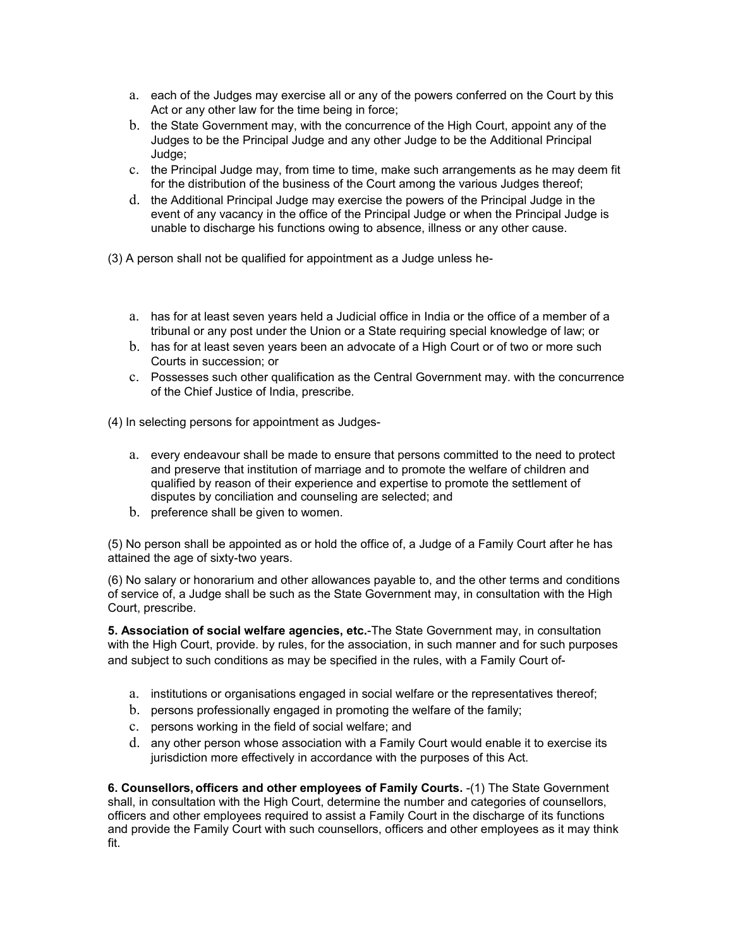- a. each of the Judges may exercise all or any of the powers conferred on the Court by this Act or any other law for the time being in force;
- b. the State Government may, with the concurrence of the High Court, appoint any of the Judges to be the Principal Judge and any other Judge to be the Additional Principal Judge;
- c. the Principal Judge may, from time to time, make such arrangements as he may deem fit for the distribution of the business of the Court among the various Judges thereof;
- d. the Additional Principal Judge may exercise the powers of the Principal Judge in the event of any vacancy in the office of the Principal Judge or when the Principal Judge is unable to discharge his functions owing to absence, illness or any other cause.

(3) A person shall not be qualified for appointment as a Judge unless he-

- a. has for at least seven years held a Judicial office in India or the office of a member of a tribunal or any post under the Union or a State requiring special knowledge of law; or
- b. has for at least seven years been an advocate of a High Court or of two or more such Courts in succession; or
- c. Possesses such other qualification as the Central Government may. with the concurrence of the Chief Justice of India, prescribe.

(4) In selecting persons for appointment as Judges-

- a. every endeavour shall be made to ensure that persons committed to the need to protect and preserve that institution of marriage and to promote the welfare of children and qualified by reason of their experience and expertise to promote the settlement of disputes by conciliation and counseling are selected; and
- b. preference shall be given to women.

(5) No person shall be appointed as or hold the office of, a Judge of a Family Court after he has attained the age of sixty-two years.

(6) No salary or honorarium and other allowances payable to, and the other terms and conditions of service of, a Judge shall be such as the State Government may, in consultation with the High Court, prescribe.

**5. Association of social welfare agencies, etc.**-The State Government may, in consultation with the High Court, provide. by rules, for the association, in such manner and for such purposes and subject to such conditions as may be specified in the rules, with a Family Court of-

- a. institutions or organisations engaged in social welfare or the representatives thereof;
- b. persons professionally engaged in promoting the welfare of the family;
- c. persons working in the field of social welfare; and
- d. any other person whose association with a Family Court would enable it to exercise its jurisdiction more effectively in accordance with the purposes of this Act.

**6. Counsellors, officers and other employees of Family Courts.** -(1) The State Government shall, in consultation with the High Court, determine the number and categories of counsellors, officers and other employees required to assist a Family Court in the discharge of its functions and provide the Family Court with such counsellors, officers and other employees as it may think fit.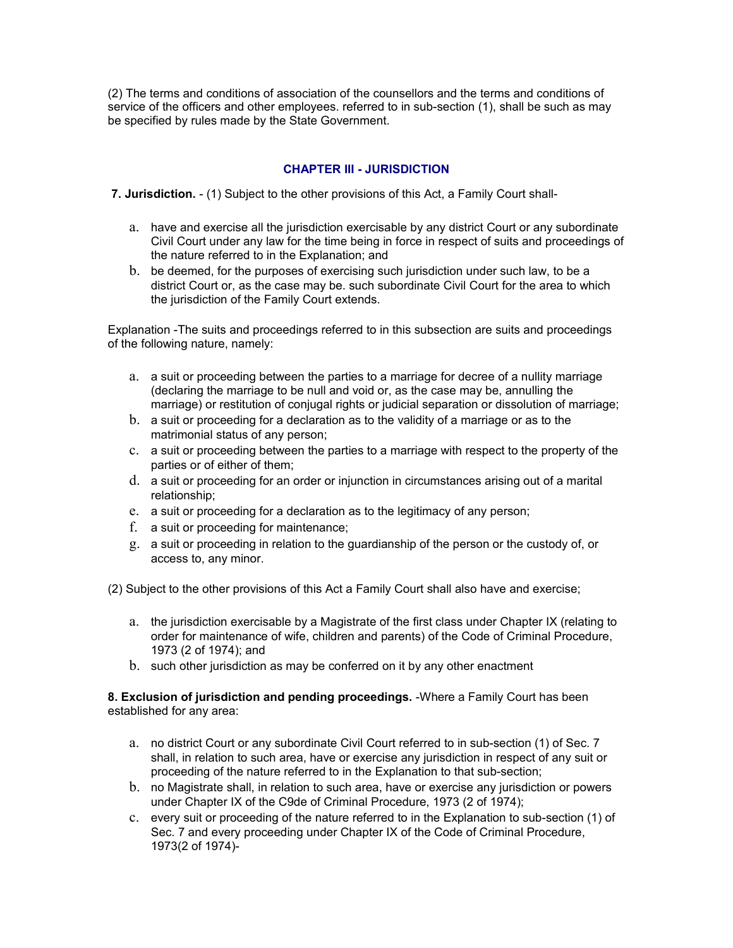(2) The terms and conditions of association of the counsellors and the terms and conditions of service of the officers and other employees. referred to in sub-section (1), shall be such as may be specified by rules made by the State Government.

## **CHAPTER III - JURISDICTION**

**7. Jurisdiction.** - (1) Subject to the other provisions of this Act, a Family Court shall-

- a. have and exercise all the jurisdiction exercisable by any district Court or any subordinate Civil Court under any law for the time being in force in respect of suits and proceedings of the nature referred to in the Explanation; and
- b. be deemed, for the purposes of exercising such jurisdiction under such law, to be a district Court or, as the case may be. such subordinate Civil Court for the area to which the jurisdiction of the Family Court extends.

Explanation -The suits and proceedings referred to in this subsection are suits and proceedings of the following nature, namely:

- a. a suit or proceeding between the parties to a marriage for decree of a nullity marriage (declaring the marriage to be null and void or, as the case may be, annulling the marriage) or restitution of conjugal rights or judicial separation or dissolution of marriage;
- b. a suit or proceeding for a declaration as to the validity of a marriage or as to the matrimonial status of any person;
- c. a suit or proceeding between the parties to a marriage with respect to the property of the parties or of either of them;
- d. a suit or proceeding for an order or injunction in circumstances arising out of a marital relationship;
- e. a suit or proceeding for a declaration as to the legitimacy of any person;
- f. a suit or proceeding for maintenance;
- g. a suit or proceeding in relation to the guardianship of the person or the custody of, or access to, any minor.

(2) Subject to the other provisions of this Act a Family Court shall also have and exercise;

- a. the jurisdiction exercisable by a Magistrate of the first class under Chapter IX (relating to order for maintenance of wife, children and parents) of the Code of Criminal Procedure, 1973 (2 of 1974); and
- b. such other jurisdiction as may be conferred on it by any other enactment

### **8. Exclusion of jurisdiction and pending proceedings.** -Where a Family Court has been established for any area:

- a. no district Court or any subordinate Civil Court referred to in sub-section (1) of Sec. 7 shall, in relation to such area, have or exercise any jurisdiction in respect of any suit or proceeding of the nature referred to in the Explanation to that sub-section;
- b. no Magistrate shall, in relation to such area, have or exercise any jurisdiction or powers under Chapter IX of the C9de of Criminal Procedure, 1973 (2 of 1974);
- c. every suit or proceeding of the nature referred to in the Explanation to sub-section (1) of Sec. 7 and every proceeding under Chapter IX of the Code of Criminal Procedure, 1973(2 of 1974)-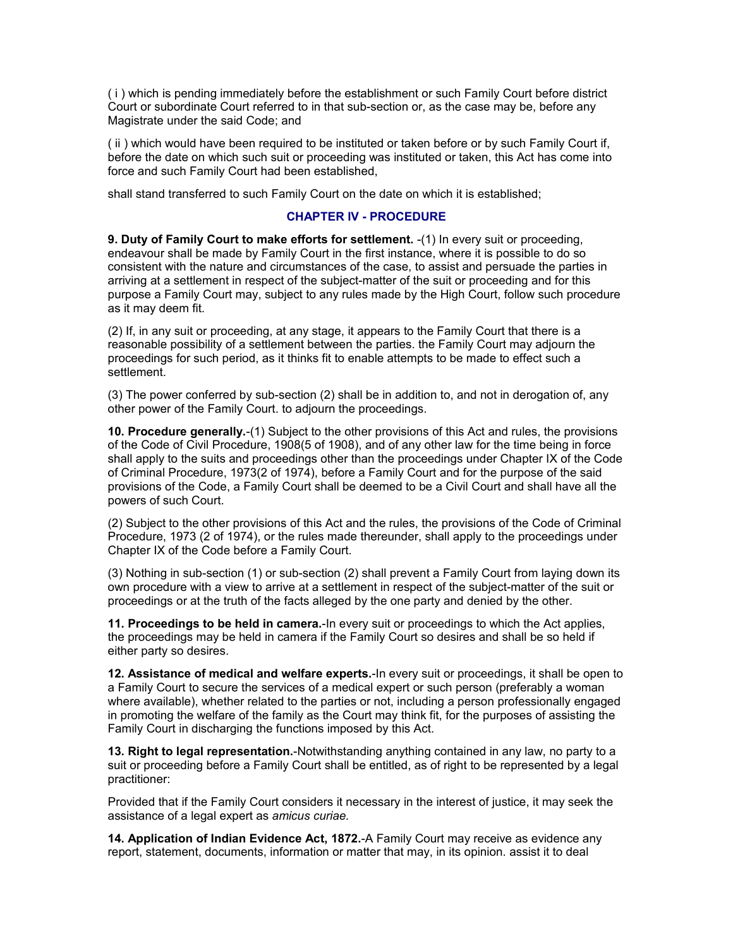( i ) which is pending immediately before the establishment or such Family Court before district Court or subordinate Court referred to in that sub-section or, as the case may be, before any Magistrate under the said Code; and

( ii ) which would have been required to be instituted or taken before or by such Family Court if, before the date on which such suit or proceeding was instituted or taken, this Act has come into force and such Family Court had been established,

shall stand transferred to such Family Court on the date on which it is established;

### **CHAPTER IV - PROCEDURE**

**9. Duty of Family Court to make efforts for settlement.** -(1) In every suit or proceeding, endeavour shall be made by Family Court in the first instance, where it is possible to do so consistent with the nature and circumstances of the case, to assist and persuade the parties in arriving at a settlement in respect of the subject-matter of the suit or proceeding and for this purpose a Family Court may, subject to any rules made by the High Court, follow such procedure as it may deem fit.

(2) If, in any suit or proceeding, at any stage, it appears to the Family Court that there is a reasonable possibility of a settlement between the parties. the Family Court may adjourn the proceedings for such period, as it thinks fit to enable attempts to be made to effect such a settlement.

(3) The power conferred by sub-section (2) shall be in addition to, and not in derogation of, any other power of the Family Court. to adjourn the proceedings.

**10. Procedure generally.**-(1) Subject to the other provisions of this Act and rules, the provisions of the Code of Civil Procedure, 1908(5 of 1908), and of any other law for the time being in force shall apply to the suits and proceedings other than the proceedings under Chapter IX of the Code of Criminal Procedure, 1973(2 of 1974), before a Family Court and for the purpose of the said provisions of the Code, a Family Court shall be deemed to be a Civil Court and shall have all the powers of such Court.

(2) Subject to the other provisions of this Act and the rules, the provisions of the Code of Criminal Procedure, 1973 (2 of 1974), or the rules made thereunder, shall apply to the proceedings under Chapter IX of the Code before a Family Court.

(3) Nothing in sub-section (1) or sub-section (2) shall prevent a Family Court from laying down its own procedure with a view to arrive at a settlement in respect of the subject-matter of the suit or proceedings or at the truth of the facts alleged by the one party and denied by the other.

**11. Proceedings to be held in camera.**-In every suit or proceedings to which the Act applies, the proceedings may be held in camera if the Family Court so desires and shall be so held if either party so desires.

**12. Assistance of medical and welfare experts.**-In every suit or proceedings, it shall be open to a Family Court to secure the services of a medical expert or such person (preferably a woman where available), whether related to the parties or not, including a person professionally engaged in promoting the welfare of the family as the Court may think fit, for the purposes of assisting the Family Court in discharging the functions imposed by this Act.

**13. Right to legal representation.**-Notwithstanding anything contained in any law, no party to a suit or proceeding before a Family Court shall be entitled, as of right to be represented by a legal practitioner:

Provided that if the Family Court considers it necessary in the interest of justice, it may seek the assistance of a legal expert as *amicus curiae.*

**14. Application of Indian Evidence Act, 1872.**-A Family Court may receive as evidence any report, statement, documents, information or matter that may, in its opinion. assist it to deal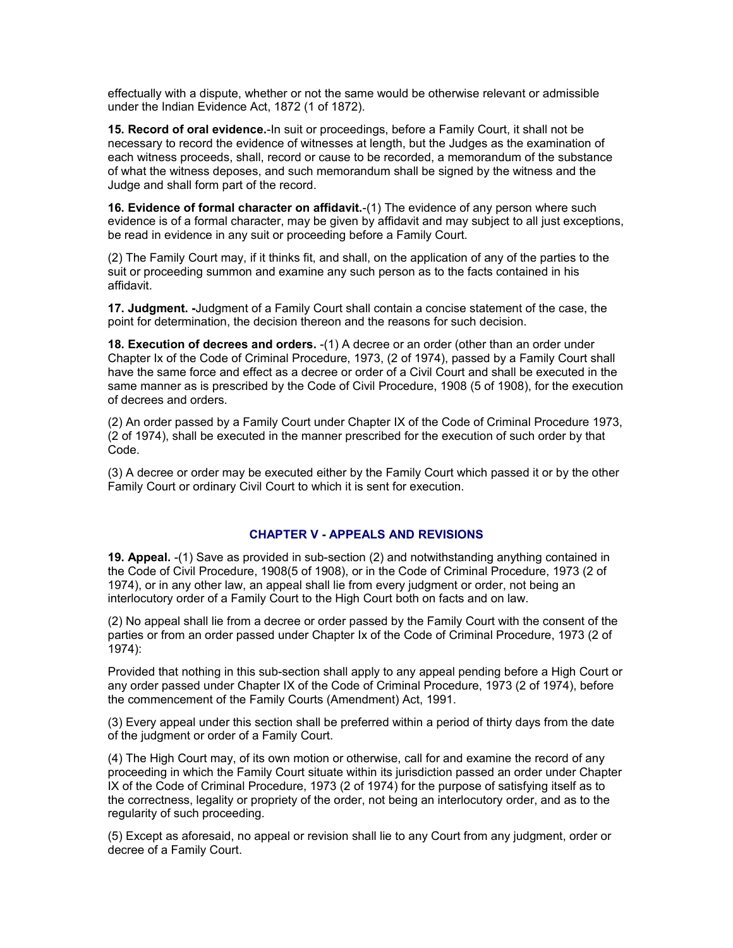effectually with a dispute, whether or not the same would be otherwise relevant or admissible under the Indian Evidence Act, 1872 (1 of 1872).

**15. Record of oral evidence.**-In suit or proceedings, before a Family Court, it shall not be necessary to record the evidence of witnesses at length, but the Judges as the examination of each witness proceeds, shall, record or cause to be recorded, a memorandum of the substance of what the witness deposes, and such memorandum shall be signed by the witness and the Judge and shall form part of the record.

**16. Evidence of formal character on affidavit.**-(1) The evidence of any person where such evidence is of a formal character, may be given by affidavit and may subject to all just exceptions, be read in evidence in any suit or proceeding before a Family Court.

(2) The Family Court may, if it thinks fit, and shall, on the application of any of the parties to the suit or proceeding summon and examine any such person as to the facts contained in his affidavit.

**17. Judgment. -**Judgment of a Family Court shall contain a concise statement of the case, the point for determination, the decision thereon and the reasons for such decision.

**18. Execution of decrees and orders.** -(1) A decree or an order (other than an order under Chapter Ix of the Code of Criminal Procedure, 1973, (2 of 1974), passed by a Family Court shall have the same force and effect as a decree or order of a Civil Court and shall be executed in the same manner as is prescribed by the Code of Civil Procedure, 1908 (5 of 1908), for the execution of decrees and orders.

(2) An order passed by a Family Court under Chapter IX of the Code of Criminal Procedure 1973, (2 of 1974), shall be executed in the manner prescribed for the execution of such order by that Code.

(3) A decree or order may be executed either by the Family Court which passed it or by the other Family Court or ordinary Civil Court to which it is sent for execution.

#### **CHAPTER V - APPEALS AND REVISIONS**

**19. Appeal.** -(1) Save as provided in sub-section (2) and notwithstanding anything contained in the Code of Civil Procedure, 1908(5 of 1908), or in the Code of Criminal Procedure, 1973 (2 of 1974), or in any other law, an appeal shall lie from every judgment or order, not being an interlocutory order of a Family Court to the High Court both on facts and on law.

(2) No appeal shall lie from a decree or order passed by the Family Court with the consent of the parties or from an order passed under Chapter Ix of the Code of Criminal Procedure, 1973 (2 of 1974):

Provided that nothing in this sub-section shall apply to any appeal pending before a High Court or any order passed under Chapter IX of the Code of Criminal Procedure, 1973 (2 of 1974), before the commencement of the Family Courts (Amendment) Act, 1991.

(3) Every appeal under this section shall be preferred within a period of thirty days from the date of the judgment or order of a Family Court.

(4) The High Court may, of its own motion or otherwise, call for and examine the record of any proceeding in which the Family Court situate within its jurisdiction passed an order under Chapter IX of the Code of Criminal Procedure, 1973 (2 of 1974) for the purpose of satisfying itself as to the correctness, legality or propriety of the order, not being an interlocutory order, and as to the regularity of such proceeding.

(5) Except as aforesaid, no appeal or revision shall lie to any Court from any judgment, order or decree of a Family Court.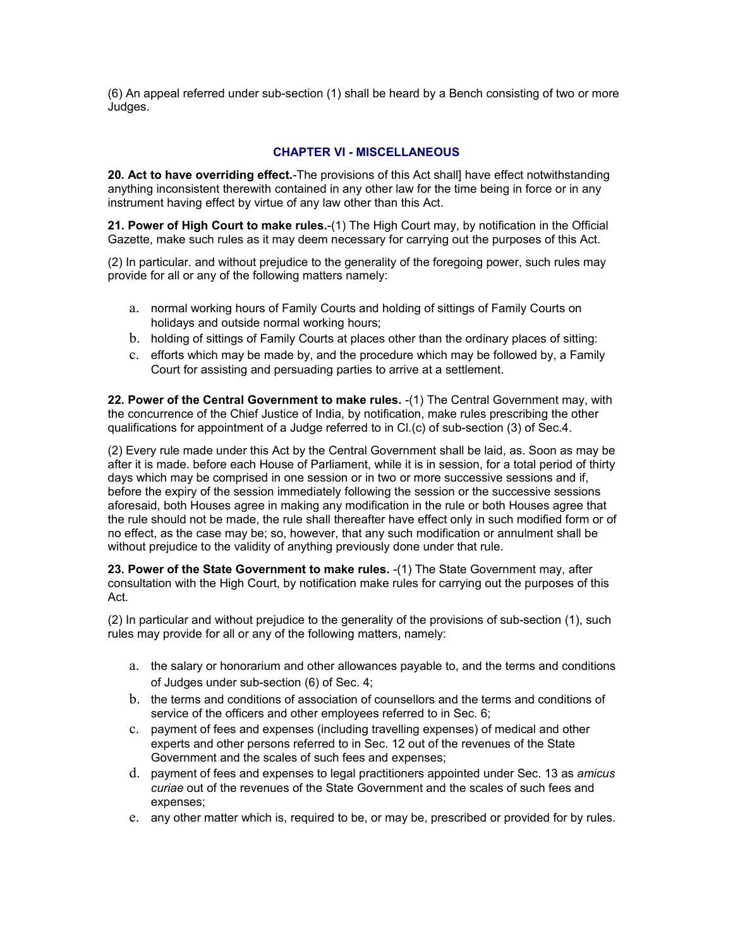(6) An appeal referred under sub-section (1) shall be heard by a Bench consisting of two or more Judges.

### **CHAPTER VI - MISCELLANEOUS**

**20. Act to have overriding effect.**-The provisions of this Act shall] have effect notwithstanding anything inconsistent therewith contained in any other law for the time being in force or in any instrument having effect by virtue of any law other than this Act.

**21. Power of High Court to make rules.**-(1) The High Court may, by notification in the Official Gazette, make such rules as it may deem necessary for carrying out the purposes of this Act.

(2) In particular. and without prejudice to the generality of the foregoing power, such rules may provide for all or any of the following matters namely:

- a. normal working hours of Family Courts and holding of sittings of Family Courts on holidays and outside normal working hours;
- b. holding of sittings of Family Courts at places other than the ordinary places of sitting:
- c. efforts which may be made by, and the procedure which may be followed by, a Family Court for assisting and persuading parties to arrive at a settlement.

**22. Power of the Central Government to make rules.** -(1) The Central Government may, with the concurrence of the Chief Justice of India, by notification, make rules prescribing the other qualifications for appointment of a Judge referred to in Cl.(c) of sub-section (3) of Sec.4.

(2) Every rule made under this Act by the Central Government shall be laid, as. Soon as may be after it is made. before each House of Parliament, while it is in session, for a total period of thirty days which may be comprised in one session or in two or more successive sessions and if, before the expiry of the session immediately following the session or the successive sessions aforesaid, both Houses agree in making any modification in the rule or both Houses agree that the rule should not be made, the rule shall thereafter have effect only in such modified form or of no effect, as the case may be; so, however, that any such modification or annulment shall be without prejudice to the validity of anything previously done under that rule.

**23. Power of the State Government to make rules.** -(1) The State Government may, after consultation with the High Court, by notification make rules for carrying out the purposes of this Act.

(2) In particular and without prejudice to the generality of the provisions of sub-section (1), such rules may provide for all or any of the following matters, namely:

- a. the salary or honorarium and other allowances payable to, and the terms and conditions of Judges under sub-section (6) of Sec. 4;
- b. the terms and conditions of association of counsellors and the terms and conditions of service of the officers and other employees referred to in Sec. 6;
- c. payment of fees and expenses (including travelling expenses) of medical and other experts and other persons referred to in Sec. 12 out of the revenues of the State Government and the scales of such fees and expenses;
- d. payment of fees and expenses to legal practitioners appointed under Sec. 13 as *amicus curiae* out of the revenues of the State Government and the scales of such fees and expenses;
- e. any other matter which is, required to be, or may be, prescribed or provided for by rules.